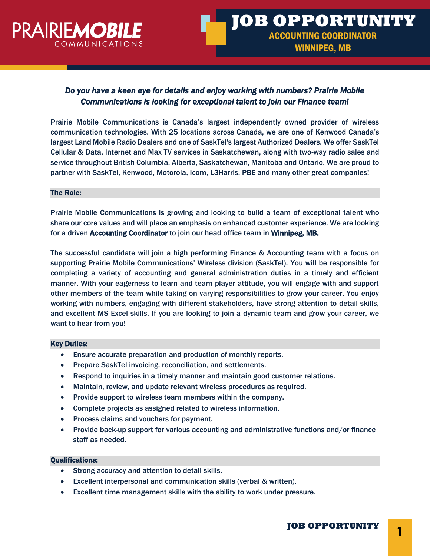

# *Do you have a keen eye for details and enjoy working with numbers? Prairie Mobile Communications is looking for exceptional talent to join our Finance team!*

Prairie Mobile Communications is Canada's largest independently owned provider of wireless communication technologies. With 25 locations across Canada, we are one of Kenwood Canada's largest Land Mobile Radio Dealers and one of SaskTel's largest Authorized Dealers. We offer SaskTel Cellular & Data, Internet and Max TV services in Saskatchewan, along with two-way radio sales and service throughout British Columbia, Alberta, Saskatchewan, Manitoba and Ontario. We are proud to partner with SaskTel, Kenwood, Motorola, Icom, L3Harris, PBE and many other great companies!

#### The Role:

Prairie Mobile Communications is growing and looking to build a team of exceptional talent who share our core values and will place an emphasis on enhanced customer experience. We are looking for a driven Accounting Coordinator to join our head office team in Winnipeg, MB.

The successful candidate will join a high performing Finance & Accounting team with a focus on supporting Prairie Mobile Communications' Wireless division (SaskTel). You will be responsible for completing a variety of accounting and general administration duties in a timely and efficient manner. With your eagerness to learn and team player attitude, you will engage with and support other members of the team while taking on varying responsibilities to grow your career. You enjoy working with numbers, engaging with different stakeholders, have strong attention to detail skills, and excellent MS Excel skills. If you are looking to join a dynamic team and grow your career, we want to hear from you!

#### Key Duties:

- Ensure accurate preparation and production of monthly reports.
- Prepare SaskTel invoicing, reconciliation, and settlements.
- Respond to inquiries in a timely manner and maintain good customer relations.
- Maintain, review, and update relevant wireless procedures as required.
- Provide support to wireless team members within the company.
- Complete projects as assigned related to wireless information.
- Process claims and vouchers for payment.
- Provide back-up support for various accounting and administrative functions and/or finance staff as needed.

## Qualifications:

- Strong accuracy and attention to detail skills.
- Excellent interpersonal and communication skills (verbal & written).
- Excellent time management skills with the ability to work under pressure.